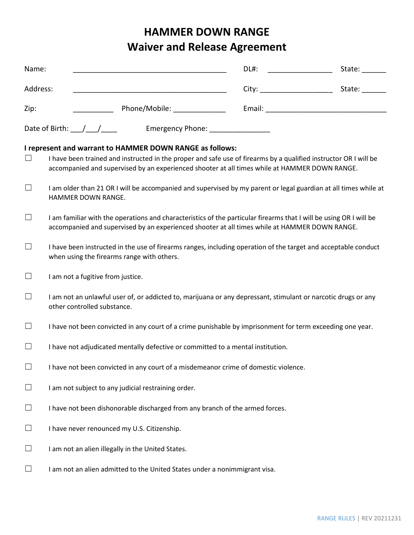# **HAMMER DOWN RANGE Waiver and Release Agreement**

| Name:                                                                                                                                                                                                                                                                                   |                                                                                                                                                                                                                     | DL#: _________________ | State: |  |
|-----------------------------------------------------------------------------------------------------------------------------------------------------------------------------------------------------------------------------------------------------------------------------------------|---------------------------------------------------------------------------------------------------------------------------------------------------------------------------------------------------------------------|------------------------|--------|--|
| Address:                                                                                                                                                                                                                                                                                |                                                                                                                                                                                                                     |                        |        |  |
| Zip:                                                                                                                                                                                                                                                                                    | Phone/Mobile: ________________                                                                                                                                                                                      |                        |        |  |
| Date of Birth: \[\stractlenger{\stractlenger}} \] Emergency Phone: \[\stractlenger}                                                                                                                                                                                                     |                                                                                                                                                                                                                     |                        |        |  |
| I represent and warrant to HAMMER DOWN RANGE as follows:<br>I have been trained and instructed in the proper and safe use of firearms by a qualified instructor OR I will be<br>$\Box$<br>accompanied and supervised by an experienced shooter at all times while at HAMMER DOWN RANGE. |                                                                                                                                                                                                                     |                        |        |  |
| ⊔                                                                                                                                                                                                                                                                                       | I am older than 21 OR I will be accompanied and supervised by my parent or legal guardian at all times while at<br>HAMMER DOWN RANGE.                                                                               |                        |        |  |
| $\Box$                                                                                                                                                                                                                                                                                  | I am familiar with the operations and characteristics of the particular firearms that I will be using OR I will be<br>accompanied and supervised by an experienced shooter at all times while at HAMMER DOWN RANGE. |                        |        |  |
| $\Box$                                                                                                                                                                                                                                                                                  | I have been instructed in the use of firearms ranges, including operation of the target and acceptable conduct<br>when using the firearms range with others.                                                        |                        |        |  |
| ⊔                                                                                                                                                                                                                                                                                       | I am not a fugitive from justice.                                                                                                                                                                                   |                        |        |  |
| $\Box$                                                                                                                                                                                                                                                                                  | I am not an unlawful user of, or addicted to, marijuana or any depressant, stimulant or narcotic drugs or any<br>other controlled substance.                                                                        |                        |        |  |
| $\Box$                                                                                                                                                                                                                                                                                  | I have not been convicted in any court of a crime punishable by imprisonment for term exceeding one year.                                                                                                           |                        |        |  |
| $\Box$                                                                                                                                                                                                                                                                                  | I have not adjudicated mentally defective or committed to a mental institution.                                                                                                                                     |                        |        |  |
| $\Box$                                                                                                                                                                                                                                                                                  | I have not been convicted in any court of a misdemeanor crime of domestic violence.                                                                                                                                 |                        |        |  |
| $\Box$                                                                                                                                                                                                                                                                                  | I am not subject to any judicial restraining order.                                                                                                                                                                 |                        |        |  |
| $\Box$                                                                                                                                                                                                                                                                                  | I have not been dishonorable discharged from any branch of the armed forces.                                                                                                                                        |                        |        |  |
| $\Box$                                                                                                                                                                                                                                                                                  | I have never renounced my U.S. Citizenship.                                                                                                                                                                         |                        |        |  |
| $\Box$                                                                                                                                                                                                                                                                                  | I am not an alien illegally in the United States.                                                                                                                                                                   |                        |        |  |
| $\Box$                                                                                                                                                                                                                                                                                  | I am not an alien admitted to the United States under a nonimmigrant visa.                                                                                                                                          |                        |        |  |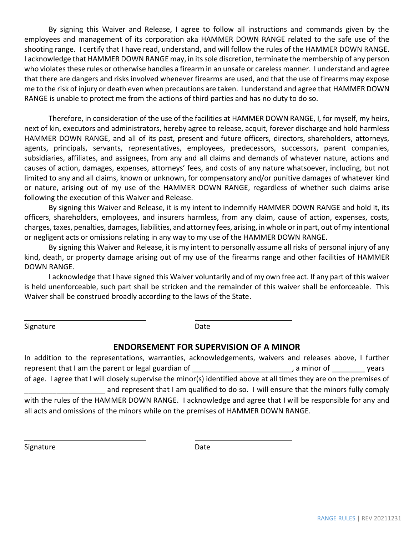By signing this Waiver and Release, I agree to follow all instructions and commands given by the employees and management of its corporation aka HAMMER DOWN RANGE related to the safe use of the shooting range. I certify that I have read, understand, and will follow the rules of the HAMMER DOWN RANGE. I acknowledge that HAMMER DOWN RANGE may, in its sole discretion, terminate the membership of any person who violates these rules or otherwise handles a firearm in an unsafe or careless manner. I understand and agree that there are dangers and risks involved whenever firearms are used, and that the use of firearms may expose me to the risk of injury or death even when precautions are taken. I understand and agree that HAMMER DOWN RANGE is unable to protect me from the actions of third parties and has no duty to do so.

Therefore, in consideration of the use of the facilities at HAMMER DOWN RANGE, I, for myself, my heirs, next of kin, executors and administrators, hereby agree to release, acquit, forever discharge and hold harmless HAMMER DOWN RANGE, and all of its past, present and future officers, directors, shareholders, attorneys, agents, principals, servants, representatives, employees, predecessors, successors, parent companies, subsidiaries, affiliates, and assignees, from any and all claims and demands of whatever nature, actions and causes of action, damages, expenses, attorneys' fees, and costs of any nature whatsoever, including, but not limited to any and all claims, known or unknown, for compensatory and/or punitive damages of whatever kind or nature, arising out of my use of the HAMMER DOWN RANGE, regardless of whether such claims arise following the execution of this Waiver and Release.

By signing this Waiver and Release, it is my intent to indemnify HAMMER DOWN RANGE and hold it, its officers, shareholders, employees, and insurers harmless, from any claim, cause of action, expenses, costs, charges, taxes, penalties, damages, liabilities, and attorney fees, arising, in whole or in part, out of my intentional or negligent acts or omissions relating in any way to my use of the HAMMER DOWN RANGE.

By signing this Waiver and Release, it is my intent to personally assume all risks of personal injury of any kind, death, or property damage arising out of my use of the firearms range and other facilities of HAMMER DOWN RANGE.

I acknowledge that I have signed this Waiver voluntarily and of my own free act. If any part of this waiver is held unenforceable, such part shall be stricken and the remainder of this waiver shall be enforceable. This Waiver shall be construed broadly according to the laws of the State.

Signature Date Date

### **ENDORSEMENT FOR SUPERVISION OF A MINOR**

In addition to the representations, warranties, acknowledgements, waivers and releases above, I further represent that I am the parent or legal guardian of the state of the state of the state of the vears of age. I agree that I will closely supervise the minor(s) identified above at all times they are on the premises of and represent that I am qualified to do so. I will ensure that the minors fully comply with the rules of the HAMMER DOWN RANGE. I acknowledge and agree that I will be responsible for any and all acts and omissions of the minors while on the premises of HAMMER DOWN RANGE.

Signature **Date**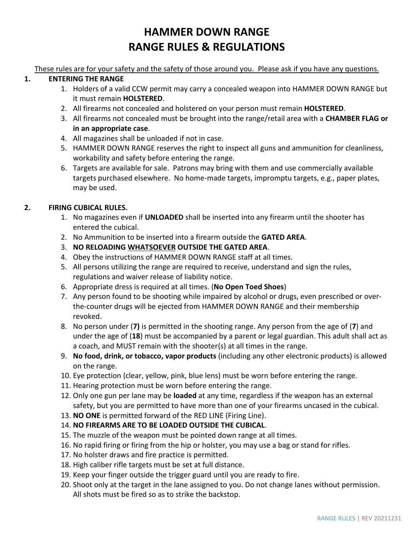# **HAMMER DOWN RANGE RANGE RULES & REGULATIONS**

These rules are for your safety and the safety of those around you. Please ask if you have any questions.

## **1. ENTERING THE RANGE**

- 1. Holders of a valid CCW permit may carry a concealed weapon into HAMMER DOWN RANGE but it must remain **HOLSTERED**.
- 2. All firearms not concealed and holstered on your person must remain **HOLSTERED**.
- 3. All firearms not concealed must be brought into the range/retail area with a **CHAMBER FLAG or in an appropriate case**.
- 4. All magazines shall be unloaded if not in case.
- 5. HAMMER DOWN RANGE reserves the right to inspect all guns and ammunition for cleanliness, workability and safety before entering the range.
- 6. Targets are available for sale. Patrons may bring with them and use commercially available targets purchased elsewhere. No home-made targets, impromptu targets, e.g., paper plates, may be used.

# **2. FIRING CUBICAL RULES.**

- 1. No magazines even if **UNLOADED** shall be inserted into any firearm until the shooter has entered the cubical.
- 2. No Ammunition to be inserted into a firearm outside the **GATED AREA**.
- 3. **NO RELOADING WHATSOEVER OUTSIDE THE GATED AREA**.
- 4. Obey the instructions of HAMMER DOWN RANGE staff at all times.
- 5. All persons utilizing the range are required to receive, understand and sign the rules, regulations and waiver release of liability notice.
- 6. Appropriate dress is required at all times. (**No Open Toed Shoes**)
- 7. Any person found to be shooting while impaired by alcohol or drugs, even prescribed or overthe-counter drugs will be ejected from HAMMER DOWN RANGE and their membership revoked.
- 8. No person under (**7)** is permitted in the shooting range. Any person from the age of (**7**) and under the age of (**18**) must be accompanied by a parent or legal guardian. This adult shall act as a coach, and MUST remain with the shooter(s) at all times in the range.
- 9. **No food, drink, or tobacco, vapor products** (including any other electronic products) is allowed on the range.
- 10. Eye protection (clear, yellow, pink, blue lens) must be worn before entering the range.
- 11. Hearing protection must be worn before entering the range.
- 12. Only one gun per lane may be **loaded** at any time, regardless if the weapon has an external safety, but you are permitted to have more than one of your firearms uncased in the cubical.
- 13. **NO ONE** is permitted forward of the RED LINE (Firing Line).
- 14. **NO FIREARMS ARE TO BE LOADED OUTSIDE THE CUBICAL**.
- 15. The muzzle of the weapon must be pointed down range at all times.
- 16. No rapid firing or firing from the hip or holster, you may use a bag or stand for rifles.
- 17. No holster draws and fire practice is permitted.
- 18. High caliber rifle targets must be set at full distance.
- 19. Keep your finger outside the trigger guard until you are ready to fire.
- 20. Shoot only at the target in the lane assigned to you. Do not change lanes without permission. All shots must be fired so as to strike the backstop.